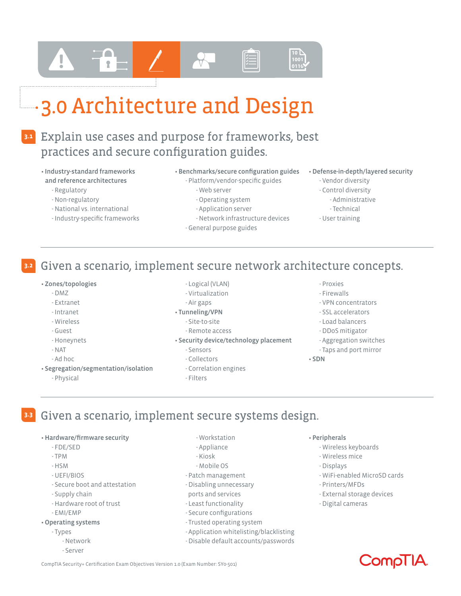# 3.0 Architecture and Design

#### Explain use cases and purpose for frameworks, best practices and secure configuration guides. **3.1**

- Industry-standard frameworks and reference architectures
	- Regulatory
	- Non-regulatory
	- National vs. international
	- Industry-specific frameworks
- Benchmarks/secure configuration guides
	- Platform/vendor-specific guides - Web server
		- Operating system
		- Application server
		-
	- Network infrastructure devices
	- General purpose guides
- Defense-in-depth/layered security
	- Vendor diversity
	- Control diversity
		- Administrative
	- Technical
	- User training

#### Given a scenario, implement secure network architecture concepts. **3.2**

- Zones/topologies
	- DMZ
	- Extranet
	- Intranet
	- Wireless
	- Guest
	- Honeynets
	- NAT
	- Ad hoc
- Segregation/segmentation/isolation
	- Physical
- Logical (VLAN)
- Virtualization
- Air gaps
- Tunneling/VPN
	- Site-to-site
	- Remote access
- Security device/technology placement
	- Sensors
	- Collectors
	- Correlation engines
	- Filters

#### - Proxies

- Firewalls
- VPN concentrators
- SSL accelerators
- Load balancers
- DDoS mitigator
- Aggregation switches
- Taps and port mirror
- SDN
- Given a scenario, implement secure systems design. **3.3**
	- Hardware/firmware security
		- FDE/SED
		- TPM
		- HSM
		- UEFI/BIOS
		- Secure boot and attestation
		- Supply chain
		- Hardware root of trust
		- EMI/EMP
	- Operating systems
		- Types
			- Network
			- Server
- Workstation
- Appliance
- Kiosk
- Mobile OS
- Patch management
- Disabling unnecessary
- ports and services
- Least functionality
- Secure configurations
- Trusted operating system
- Application whitelisting/blacklisting
- Disable default accounts/passwords
- Peripherals
	- Wireless keyboards
	- Wireless mice
	- Displays
	- WiFi-enabled MicroSD cards
	- Printers/MFDs
	- External storage devices
	- Digital cameras

CompTIA Security+ Certification Exam Objectives Version 1.0 (Exam Number: SY0-501)

# Compli<sup>A</sup>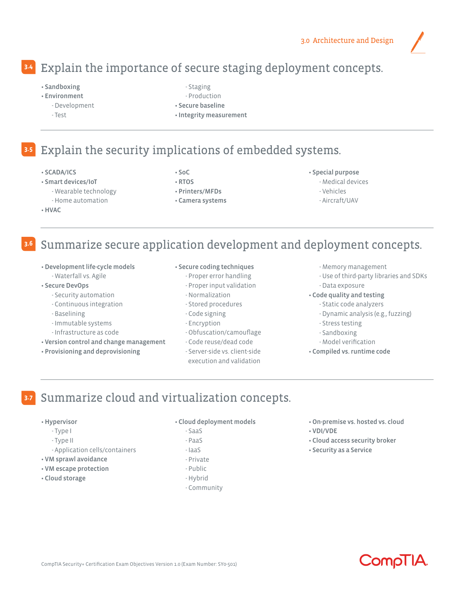# Explain the importance of secure staging deployment concepts. **3.4**

- Sandboxing
- Environment
	- Development
	- Test
- Staging
- Production
- Secure baseline
- Integrity measurement

#### Explain the security implications of embedded systems. **3.5**

- SCADA/ICS
- Smart devices/IoT
	- Wearable technology
- Home automation • HVAC
- SoC
- RTOS
- Printers/MFDs
- Camera systems
- Special purpose
	- Medical devices
	- Vehicles
	- Aircraft/UAV

#### Summarize secure application development and deployment concepts. **3.6**

- Development life-cycle models - Waterfall vs. Agile
- Secure DevOps
	- Security automation
	- Continuous integration
	- Baselining
	- Immutable systems
	- Infrastructure as code
- Version control and change management
- Provisioning and deprovisioning

#### • Secure coding techniques

- Proper error handling
- Proper input validation
- Normalization
- Stored procedures
- Code signing
- Encryption
- Obfuscation/camouflage
- Code reuse/dead code
- Server-side vs. client-side execution and validation
- Memory management
- Use of third-party libraries and SDKs - Data exposure
- Code quality and testing
	- Static code analyzers
	- Dynamic analysis (e.g., fuzzing)
	- Stress testing
	- Sandboxing
	- Model verification
- Compiled vs. runtime code

#### Summarize cloud and virtualization concepts. **3.7**

#### • Hypervisor

- Type I
- Type II
- Application cells/containers
- VM sprawl avoidance
- VM escape protection
- Cloud storage
- Cloud deployment models
	- SaaS
	- PaaS - IaaS
	- Private
	- Public
	- Hybrid
	- Community
- On-premise vs. hosted vs. cloud
- VDI/VDE
- Cloud access security broker
- Security as a Service

**CompliA**